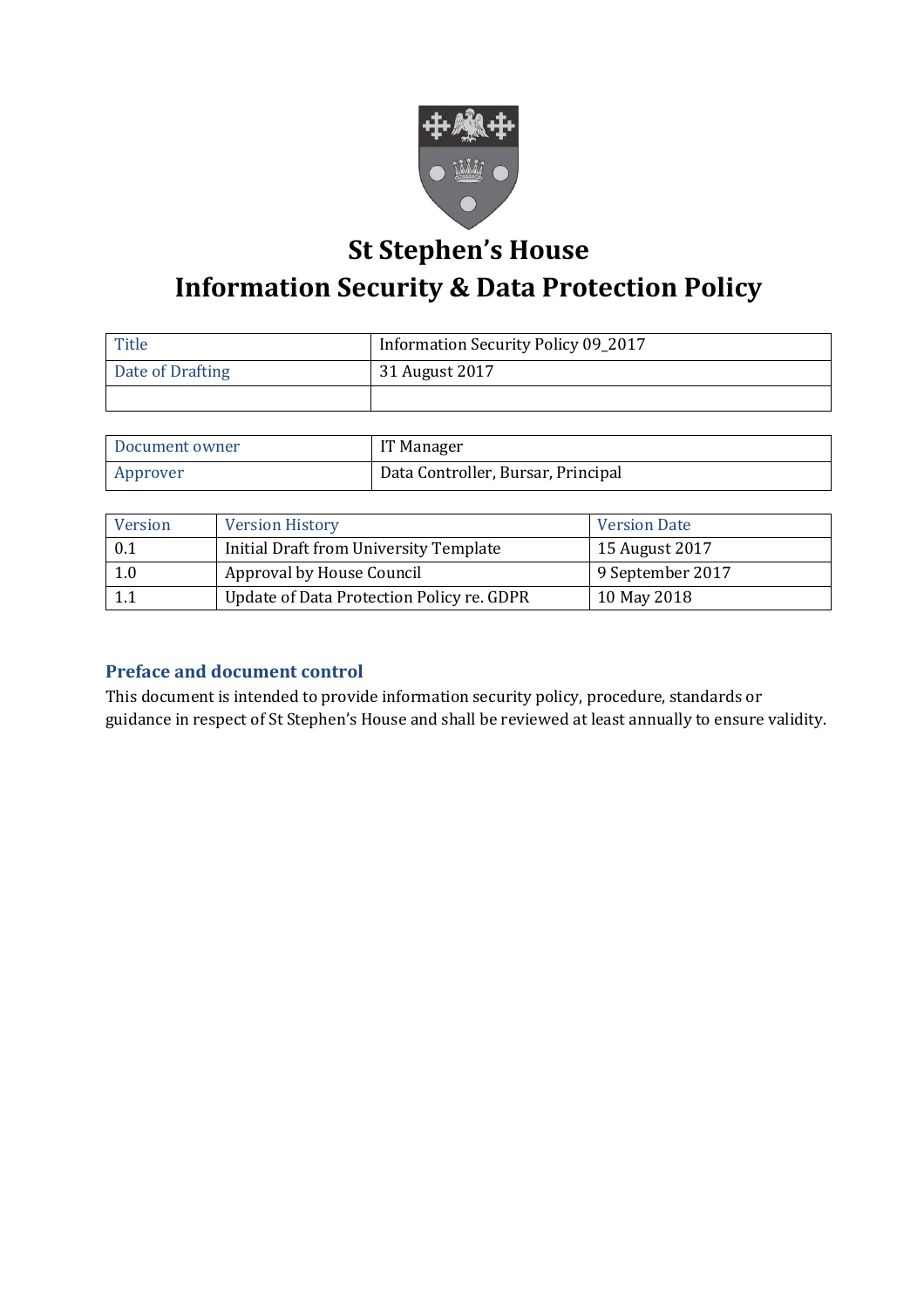

# **St Stephen's House Information Security & Data Protection Policy**

| Title            | Information Security Policy 09_2017 |  |
|------------------|-------------------------------------|--|
| Date of Drafting | 31 August 2017                      |  |
|                  |                                     |  |

| Document owner | IT Manager                         |
|----------------|------------------------------------|
| Approver       | Data Controller, Bursar, Principal |

| Version | <b>Version History</b>                    | <b>Version Date</b> |
|---------|-------------------------------------------|---------------------|
| 0.1     | Initial Draft from University Template    | 15 August 2017      |
| 1.0     | Approval by House Council                 | 9 September 2017    |
|         | Update of Data Protection Policy re. GDPR | 10 May 2018         |

# **Preface and document control**

This document is intended to provide information security policy, procedure, standards or guidance in respect of St Stephen's House and shall be reviewed at least annually to ensure validity.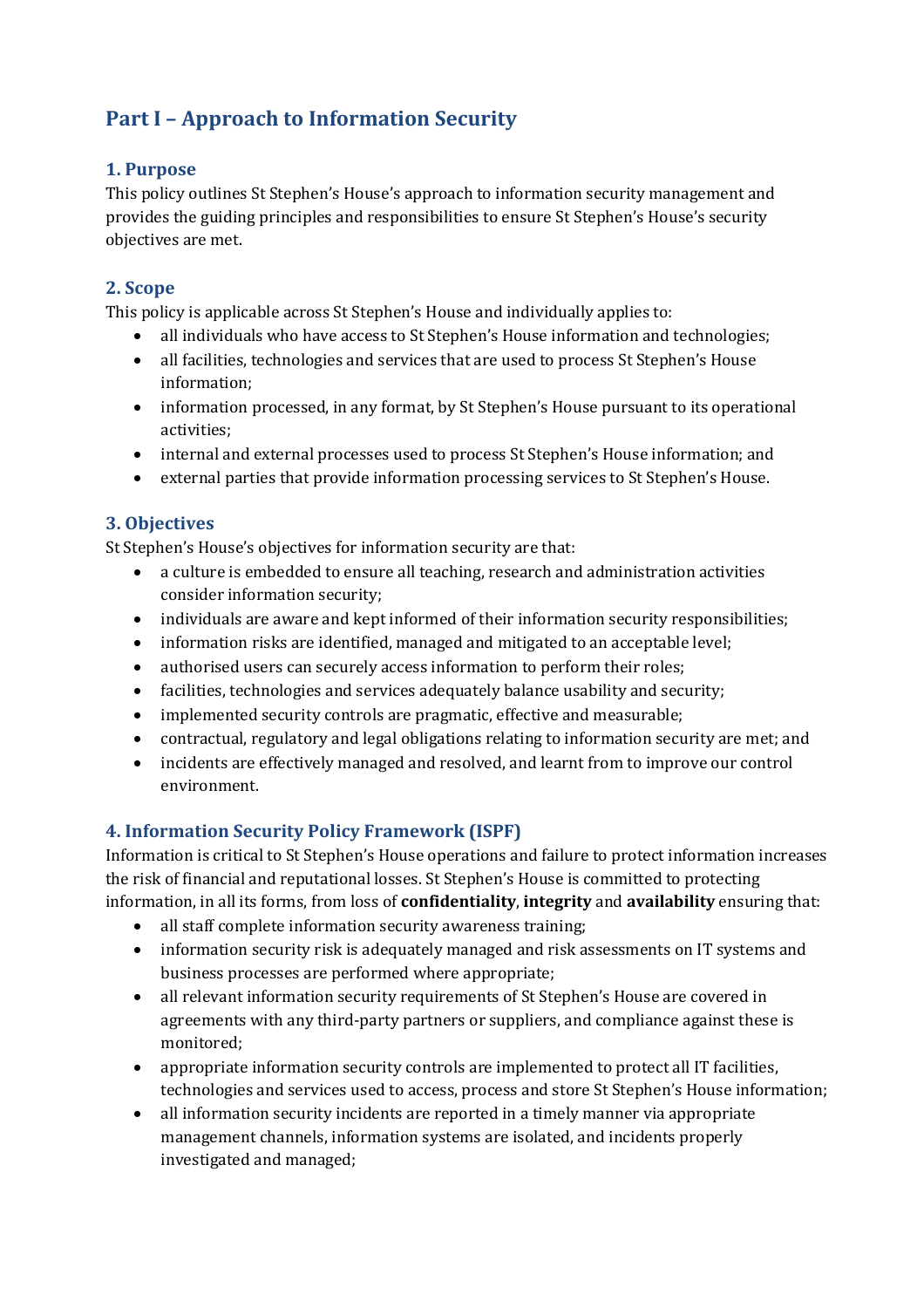# **Part I – Approach to Information Security**

#### **1. Purpose**

This policy outlines St Stephen's House's approach to information security management and provides the guiding principles and responsibilities to ensure St Stephen's House's security objectives are met.

# **2. Scope**

This policy is applicable across St Stephen's House and individually applies to:

- all individuals who have access to St Stephen's House information and technologies;
- all facilities, technologies and services that are used to process St Stephen's House information;
- information processed, in any format, by St Stephen's House pursuant to its operational activities;
- internal and external processes used to process St Stephen's House information; and
- external parties that provide information processing services to St Stephen's House.

# **3. Objectives**

St Stephen's House's objectives for information security are that:

- a culture is embedded to ensure all teaching, research and administration activities consider information security;
- individuals are aware and kept informed of their information security responsibilities;
- information risks are identified, managed and mitigated to an acceptable level;
- authorised users can securely access information to perform their roles;
- facilities, technologies and services adequately balance usability and security;
- implemented security controls are pragmatic, effective and measurable;
- contractual, regulatory and legal obligations relating to information security are met; and
- incidents are effectively managed and resolved, and learnt from to improve our control environment.

# **4. Information Security Policy Framework (ISPF)**

Information is critical to St Stephen's House operations and failure to protect information increases the risk of financial and reputational losses. St Stephen's House is committed to protecting information, in all its forms, from loss of **confidentiality**, **integrity** and **availability** ensuring that:

- all staff complete information security awareness training;
- information security risk is adequately managed and risk assessments on IT systems and business processes are performed where appropriate;
- all relevant information security requirements of St Stephen's House are covered in agreements with any third-party partners or suppliers, and compliance against these is monitored;
- appropriate information security controls are implemented to protect all IT facilities, technologies and services used to access, process and store St Stephen's House information;
- all information security incidents are reported in a timely manner via appropriate management channels, information systems are isolated, and incidents properly investigated and managed;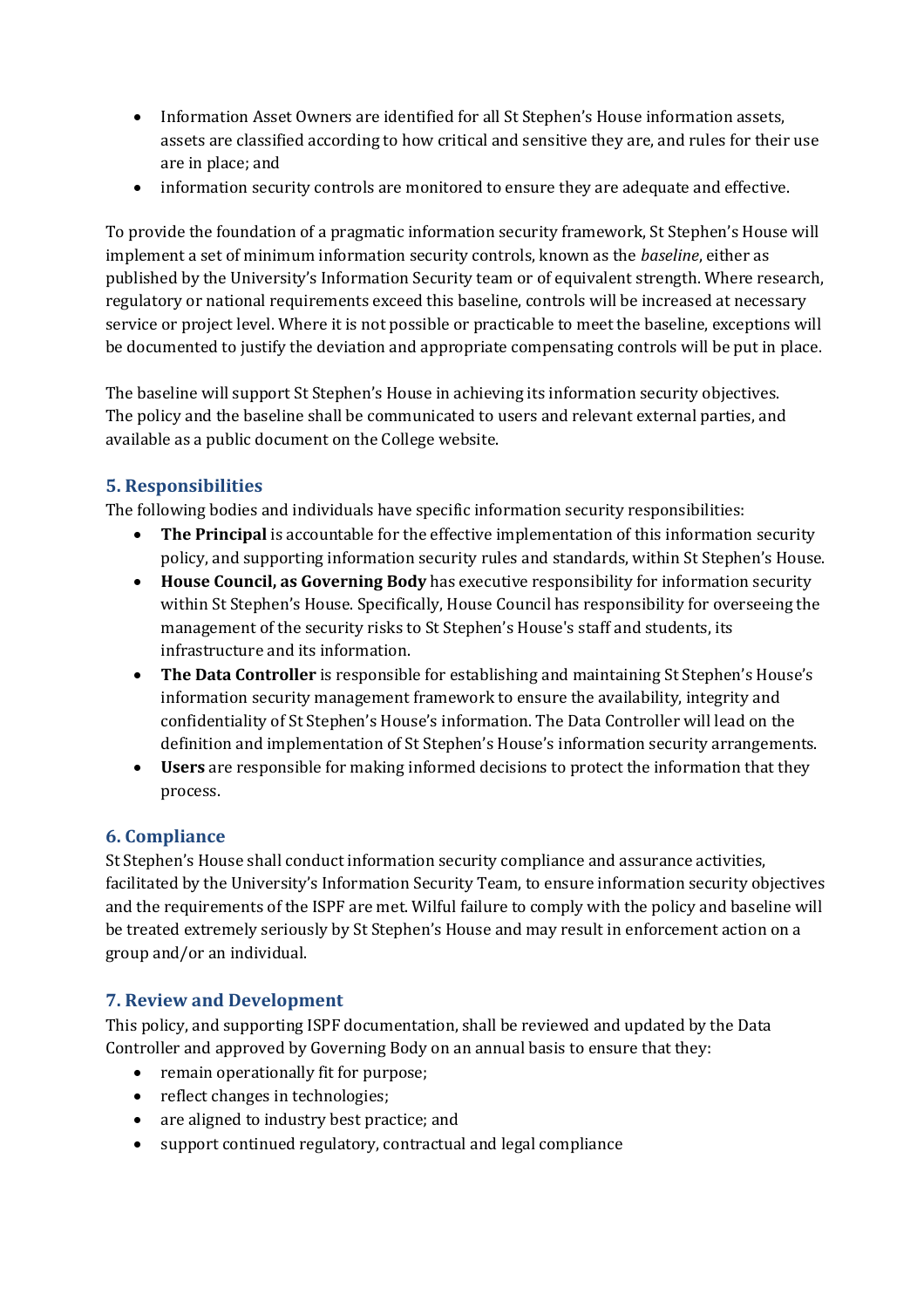- Information Asset Owners are identified for all St Stephen's House information assets, assets are classified according to how critical and sensitive they are, and rules for their use are in place; and
- information security controls are monitored to ensure they are adequate and effective.

To provide the foundation of a pragmatic information security framework, St Stephen's House will implement a set of minimum information security controls, known as the *baseline*, either as published by the University's Information Security team or of equivalent strength. Where research, regulatory or national requirements exceed this baseline, controls will be increased at necessary service or project level. Where it is not possible or practicable to meet the baseline, exceptions will be documented to justify the deviation and appropriate compensating controls will be put in place.

The baseline will support St Stephen's House in achieving its information security objectives. The policy and the baseline shall be communicated to users and relevant external parties, and available as a public document on the College website.

# **5. Responsibilities**

The following bodies and individuals have specific information security responsibilities:

- **The Principal** is accountable for the effective implementation of this information security policy, and supporting information security rules and standards, within St Stephen's House.
- **House Council, as Governing Body** has executive responsibility for information security within St Stephen's House. Specifically, House Council has responsibility for overseeing the management of the security risks to St Stephen's House's staff and students, its infrastructure and its information.
- **The Data Controller** is responsible for establishing and maintaining St Stephen's House's information security management framework to ensure the availability, integrity and confidentiality of St Stephen's House's information. The Data Controller will lead on the definition and implementation of St Stephen's House's information security arrangements.
- **Users** are responsible for making informed decisions to protect the information that they process.

# **6. Compliance**

St Stephen's House shall conduct information security compliance and assurance activities, facilitated by the University's Information Security Team, to ensure information security objectives and the requirements of the ISPF are met. Wilful failure to comply with the policy and baseline will be treated extremely seriously by St Stephen's House and may result in enforcement action on a group and/or an individual.

# **7. Review and Development**

This policy, and supporting ISPF documentation, shall be reviewed and updated by the Data Controller and approved by Governing Body on an annual basis to ensure that they:

- remain operationally fit for purpose;
- reflect changes in technologies;
- are aligned to industry best practice; and
- support continued regulatory, contractual and legal compliance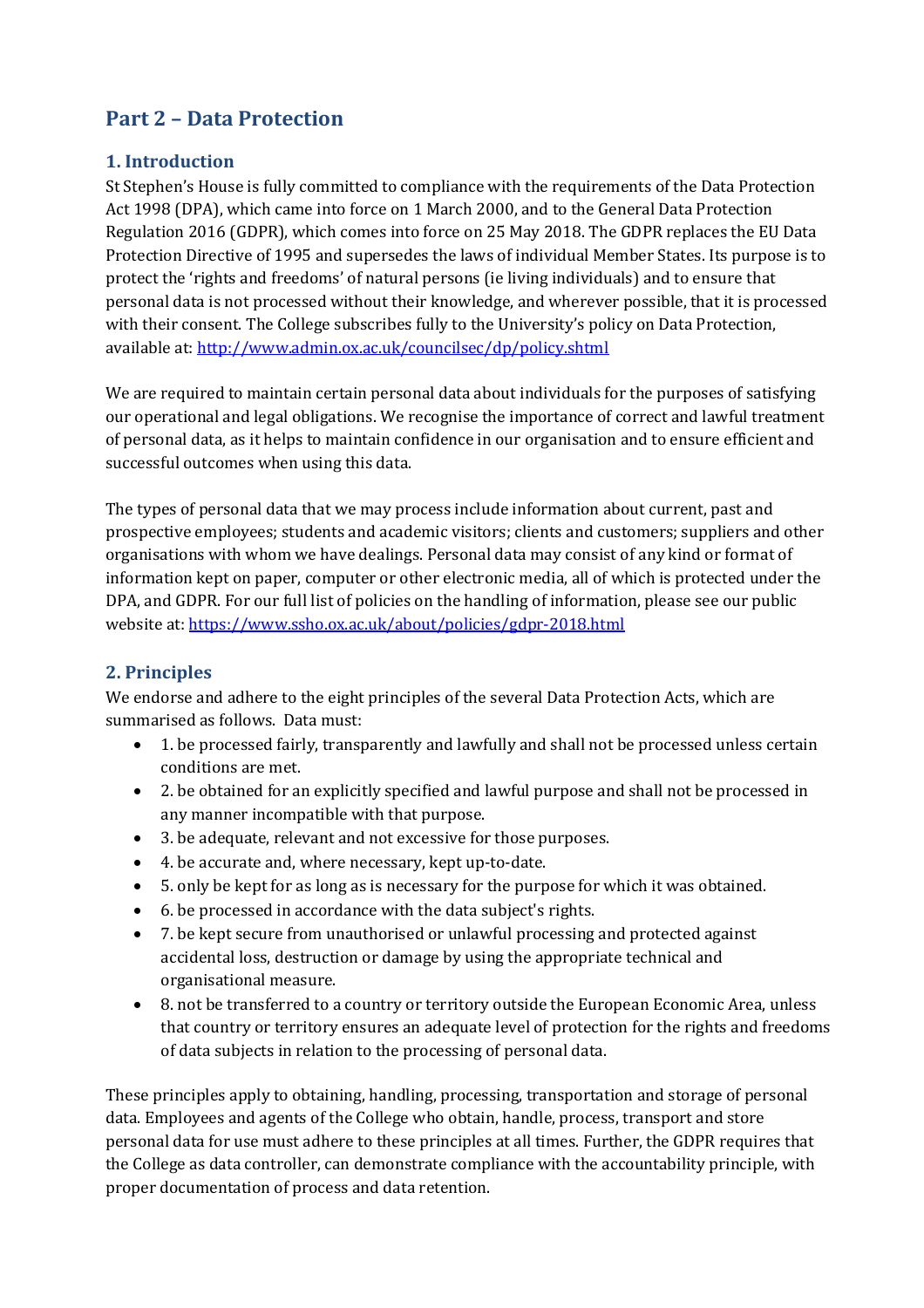# **Part 2 – Data Protection**

#### **1. Introduction**

St Stephen's House is fully committed to compliance with the requirements of the Data Protection Act 1998 (DPA), which came into force on 1 March 2000, and to the General Data Protection Regulation 2016 (GDPR), which comes into force on 25 May 2018. The GDPR replaces the EU Data Protection Directive of 1995 and supersedes the laws of individual Member States. Its purpose is to protect the 'rights and freedoms' of natural persons (ie living individuals) and to ensure that personal data is not processed without their knowledge, and wherever possible, that it is processed with their consent. The College subscribes fully to the University's policy on Data Protection, available at: http://www.admin.ox.ac.uk/councilsec/dp/policy.shtml

We are required to maintain certain personal data about individuals for the purposes of satisfying our operational and legal obligations. We recognise the importance of correct and lawful treatment of personal data, as it helps to maintain confidence in our organisation and to ensure efficient and successful outcomes when using this data.

The types of personal data that we may process include information about current, past and prospective employees; students and academic visitors; clients and customers; suppliers and other organisations with whom we have dealings. Personal data may consist of any kind or format of information kept on paper, computer or other electronic media, all of which is protected under the DPA, and GDPR. For our full list of policies on the handling of information, please see our public website at: https://www.ssho.ox.ac.uk/about/policies/gdpr-2018.html

# **2. Principles**

We endorse and adhere to the eight principles of the several Data Protection Acts, which are summarised as follows. Data must:

- 1. be processed fairly, transparently and lawfully and shall not be processed unless certain conditions are met.
- 2. be obtained for an explicitly specified and lawful purpose and shall not be processed in any manner incompatible with that purpose.
- 3. be adequate, relevant and not excessive for those purposes.
- 4. be accurate and, where necessary, kept up-to-date.
- 5. only be kept for as long as is necessary for the purpose for which it was obtained.
- 6. be processed in accordance with the data subject's rights.
- 7. be kept secure from unauthorised or unlawful processing and protected against accidental loss, destruction or damage by using the appropriate technical and organisational measure.
- 8. not be transferred to a country or territory outside the European Economic Area, unless that country or territory ensures an adequate level of protection for the rights and freedoms of data subjects in relation to the processing of personal data.

These principles apply to obtaining, handling, processing, transportation and storage of personal data. Employees and agents of the College who obtain, handle, process, transport and store personal data for use must adhere to these principles at all times. Further, the GDPR requires that the College as data controller, can demonstrate compliance with the accountability principle, with proper documentation of process and data retention.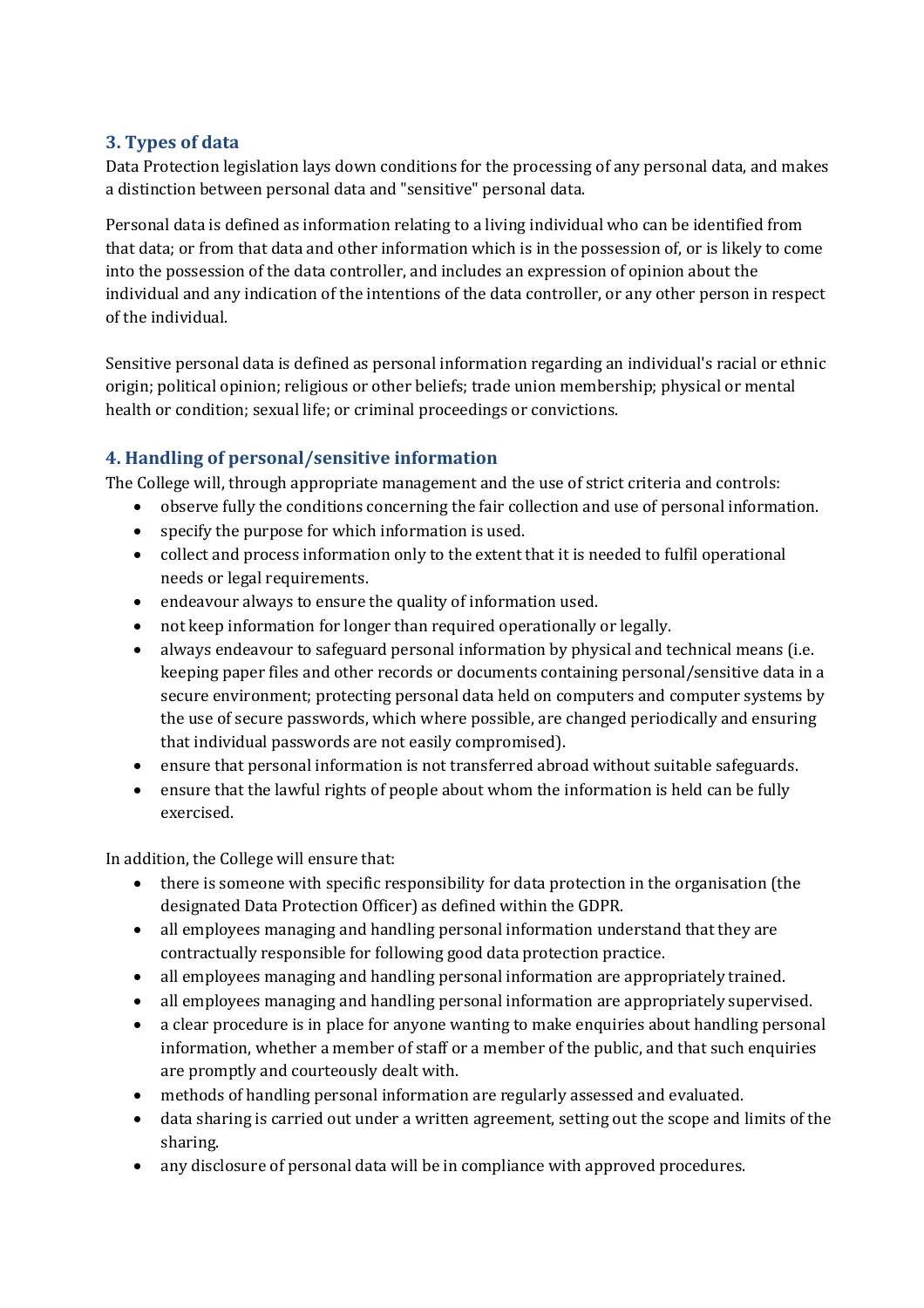#### **3. Types of data**

Data Protection legislation lays down conditions for the processing of any personal data, and makes a distinction between personal data and "sensitive" personal data.

Personal data is defined as information relating to a living individual who can be identified from that data; or from that data and other information which is in the possession of, or is likely to come into the possession of the data controller, and includes an expression of opinion about the individual and any indication of the intentions of the data controller, or any other person in respect of the individual.

Sensitive personal data is defined as personal information regarding an individual's racial or ethnic origin; political opinion; religious or other beliefs; trade union membership; physical or mental health or condition; sexual life; or criminal proceedings or convictions.

# **4. Handling of personal/sensitive information**

The College will, through appropriate management and the use of strict criteria and controls:

- observe fully the conditions concerning the fair collection and use of personal information.
- specify the purpose for which information is used.
- collect and process information only to the extent that it is needed to fulfil operational needs or legal requirements.
- endeavour always to ensure the quality of information used.
- not keep information for longer than required operationally or legally.
- always endeavour to safeguard personal information by physical and technical means (i.e. keeping paper files and other records or documents containing personal/sensitive data in a secure environment; protecting personal data held on computers and computer systems by the use of secure passwords, which where possible, are changed periodically and ensuring that individual passwords are not easily compromised).
- ensure that personal information is not transferred abroad without suitable safeguards.
- ensure that the lawful rights of people about whom the information is held can be fully exercised.

In addition, the College will ensure that:

- there is someone with specific responsibility for data protection in the organisation (the designated Data Protection Officer) as defined within the GDPR.
- all employees managing and handling personal information understand that they are contractually responsible for following good data protection practice.
- all employees managing and handling personal information are appropriately trained.
- all employees managing and handling personal information are appropriately supervised.
- a clear procedure is in place for anyone wanting to make enquiries about handling personal information, whether a member of staff or a member of the public, and that such enquiries are promptly and courteously dealt with.
- methods of handling personal information are regularly assessed and evaluated.
- data sharing is carried out under a written agreement, setting out the scope and limits of the sharing.
- any disclosure of personal data will be in compliance with approved procedures.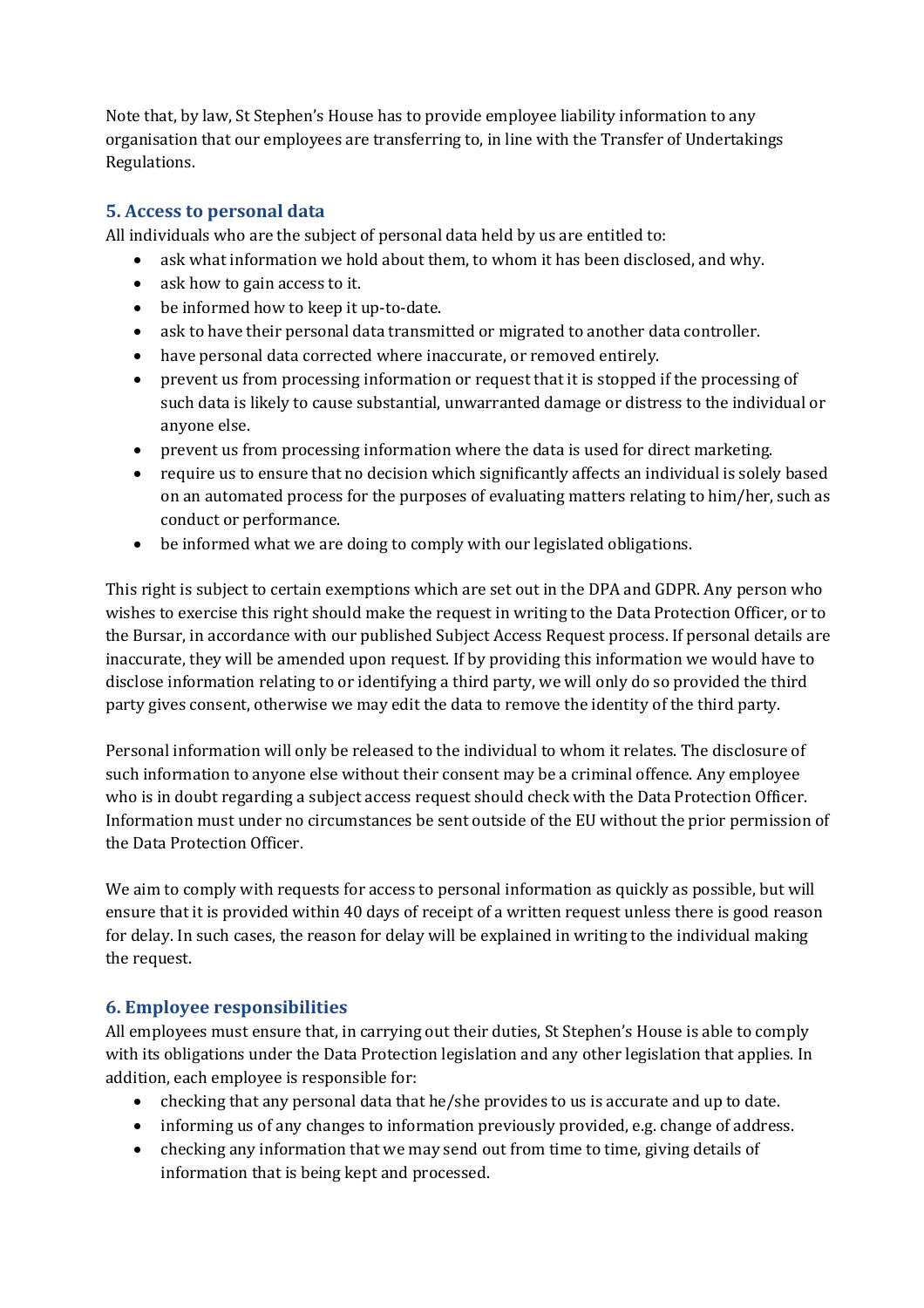Note that, by law, St Stephen's House has to provide employee liability information to any organisation that our employees are transferring to, in line with the Transfer of Undertakings Regulations.

#### **5. Access to personal data**

All individuals who are the subject of personal data held by us are entitled to:

- ask what information we hold about them, to whom it has been disclosed, and why.
- ask how to gain access to it.
- be informed how to keep it up-to-date.
- ask to have their personal data transmitted or migrated to another data controller.
- have personal data corrected where inaccurate, or removed entirely.
- prevent us from processing information or request that it is stopped if the processing of such data is likely to cause substantial, unwarranted damage or distress to the individual or anyone else.
- prevent us from processing information where the data is used for direct marketing.
- require us to ensure that no decision which significantly affects an individual is solely based on an automated process for the purposes of evaluating matters relating to him/her, such as conduct or performance.
- be informed what we are doing to comply with our legislated obligations.

This right is subject to certain exemptions which are set out in the DPA and GDPR. Any person who wishes to exercise this right should make the request in writing to the Data Protection Officer, or to the Bursar, in accordance with our published Subject Access Request process. If personal details are inaccurate, they will be amended upon request. If by providing this information we would have to disclose information relating to or identifying a third party, we will only do so provided the third party gives consent, otherwise we may edit the data to remove the identity of the third party.

Personal information will only be released to the individual to whom it relates. The disclosure of such information to anyone else without their consent may be a criminal offence. Any employee who is in doubt regarding a subject access request should check with the Data Protection Officer. Information must under no circumstances be sent outside of the EU without the prior permission of the Data Protection Officer.

We aim to comply with requests for access to personal information as quickly as possible, but will ensure that it is provided within 40 days of receipt of a written request unless there is good reason for delay. In such cases, the reason for delay will be explained in writing to the individual making the request.

#### **6. Employee responsibilities**

All employees must ensure that, in carrying out their duties, St Stephen's House is able to comply with its obligations under the Data Protection legislation and any other legislation that applies. In addition, each employee is responsible for:

- checking that any personal data that he/she provides to us is accurate and up to date.
- informing us of any changes to information previously provided, e.g. change of address.
- checking any information that we may send out from time to time, giving details of information that is being kept and processed.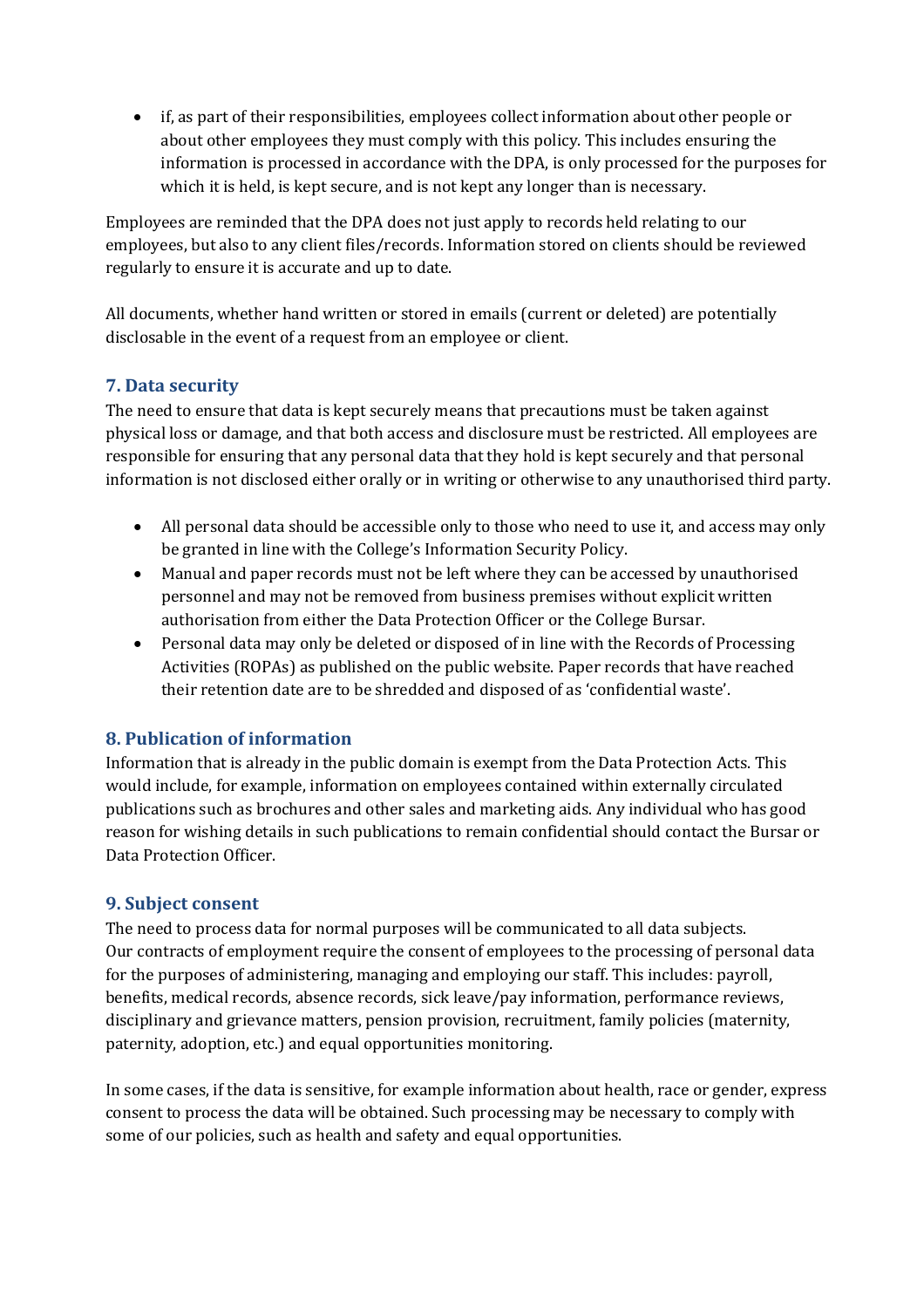if, as part of their responsibilities, employees collect information about other people or about other employees they must comply with this policy. This includes ensuring the information is processed in accordance with the DPA, is only processed for the purposes for which it is held, is kept secure, and is not kept any longer than is necessary.

Employees are reminded that the DPA does not just apply to records held relating to our employees, but also to any client files/records. Information stored on clients should be reviewed regularly to ensure it is accurate and up to date.

All documents, whether hand written or stored in emails (current or deleted) are potentially disclosable in the event of a request from an employee or client.

#### **7. Data security**

The need to ensure that data is kept securely means that precautions must be taken against physical loss or damage, and that both access and disclosure must be restricted. All employees are responsible for ensuring that any personal data that they hold is kept securely and that personal information is not disclosed either orally or in writing or otherwise to any unauthorised third party.

- All personal data should be accessible only to those who need to use it, and access may only be granted in line with the College's Information Security Policy.
- Manual and paper records must not be left where they can be accessed by unauthorised personnel and may not be removed from business premises without explicit written authorisation from either the Data Protection Officer or the College Bursar.
- Personal data may only be deleted or disposed of in line with the Records of Processing Activities (ROPAs) as published on the public website. Paper records that have reached their retention date are to be shredded and disposed of as 'confidential waste'.

# **8. Publication of information**

Information that is already in the public domain is exempt from the Data Protection Acts. This would include, for example, information on employees contained within externally circulated publications such as brochures and other sales and marketing aids. Any individual who has good reason for wishing details in such publications to remain confidential should contact the Bursar or Data Protection Officer.

#### **9. Subject consent**

The need to process data for normal purposes will be communicated to all data subjects. Our contracts of employment require the consent of employees to the processing of personal data for the purposes of administering, managing and employing our staff. This includes: payroll, benefits, medical records, absence records, sick leave/pay information, performance reviews, disciplinary and grievance matters, pension provision, recruitment, family policies (maternity, paternity, adoption, etc.) and equal opportunities monitoring.

In some cases, if the data is sensitive, for example information about health, race or gender, express consent to process the data will be obtained. Such processing may be necessary to comply with some of our policies, such as health and safety and equal opportunities.